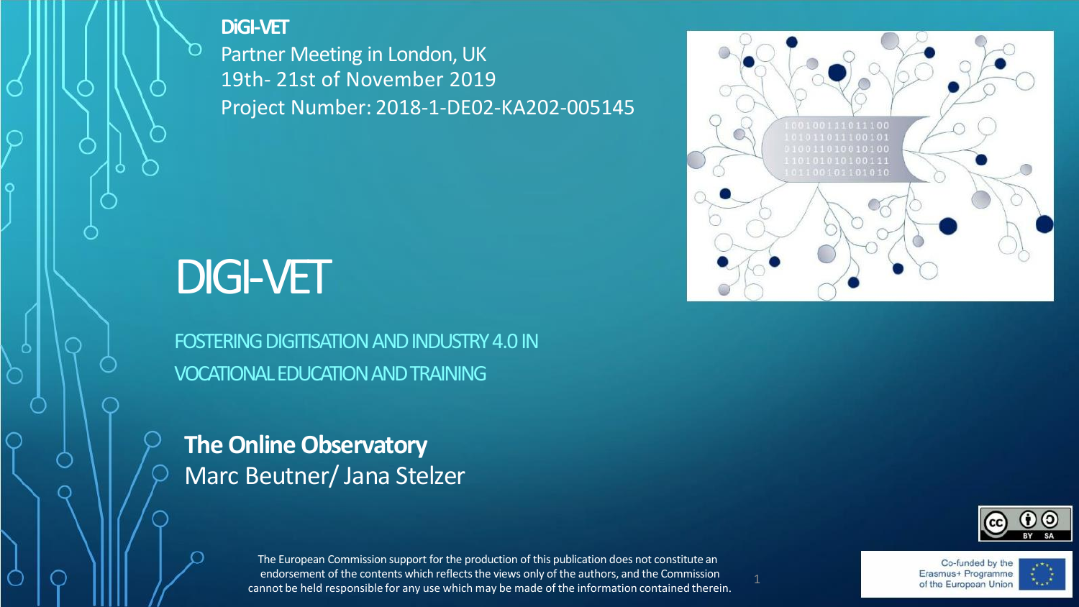#### **DiGI-VET**

Partner Meeting in London, UK 19th- 21st of November 2019 Project Number: 2018-1-DE02-KA202-005145



# DIGI-VET

FOSTERING DIGITISATION AND INDUSTRY 4.0 IN VOCATIONALEDUCATIONANDTRAINING

**The Online Observatory** Marc Beutner/ Jana Stelzer



The European Commission support for the production of this publication does not constitute an endorsement of the contents which reflects the views only of the authors, and the Commission cannot be held responsible for any use which may be made of the information contained therein.

Co-funded by the Erasmus+ Programme of the European Union

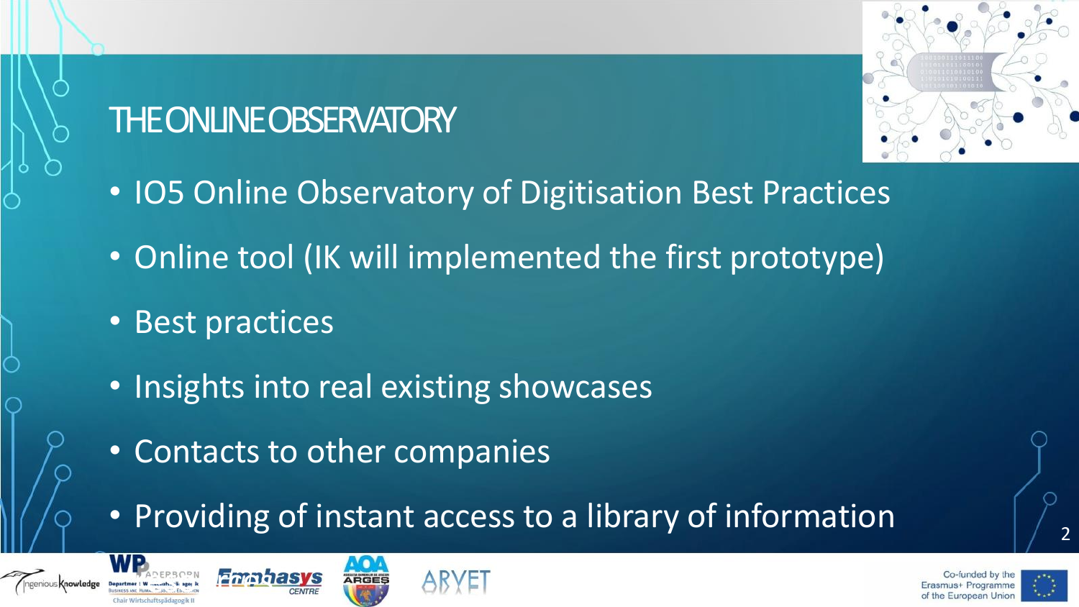## THE ONLINE OBSERVATORY



- IO5 Online Observatory of Digitisation Best Practices
- Online tool (IK will implemented the first prototype)
- Best practices
- Insights into real existing showcases
- Contacts to other companies
- Providing of instant access to a library of information







2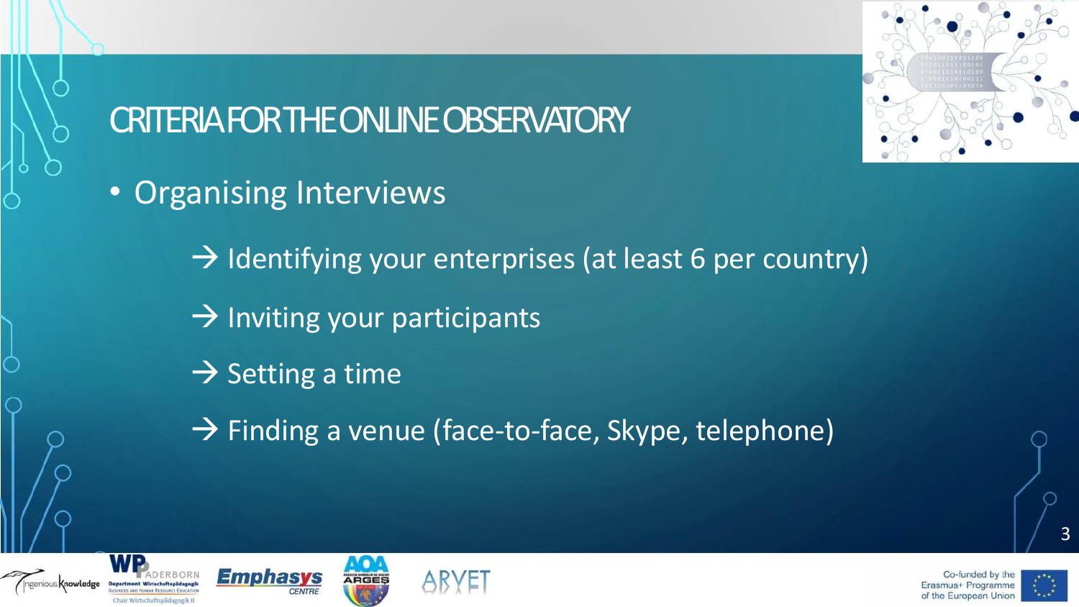

## CRITERIA FOR THE ONLINE OBSERVATORY

- Organising Interviews
	- $\rightarrow$  Identifying your enterprises (at least 6 per country)
	- $\rightarrow$  Inviting your participants
	- $\rightarrow$  Setting a time
	- $\rightarrow$  Finding a venue (face-to-face, Skype, telephone)









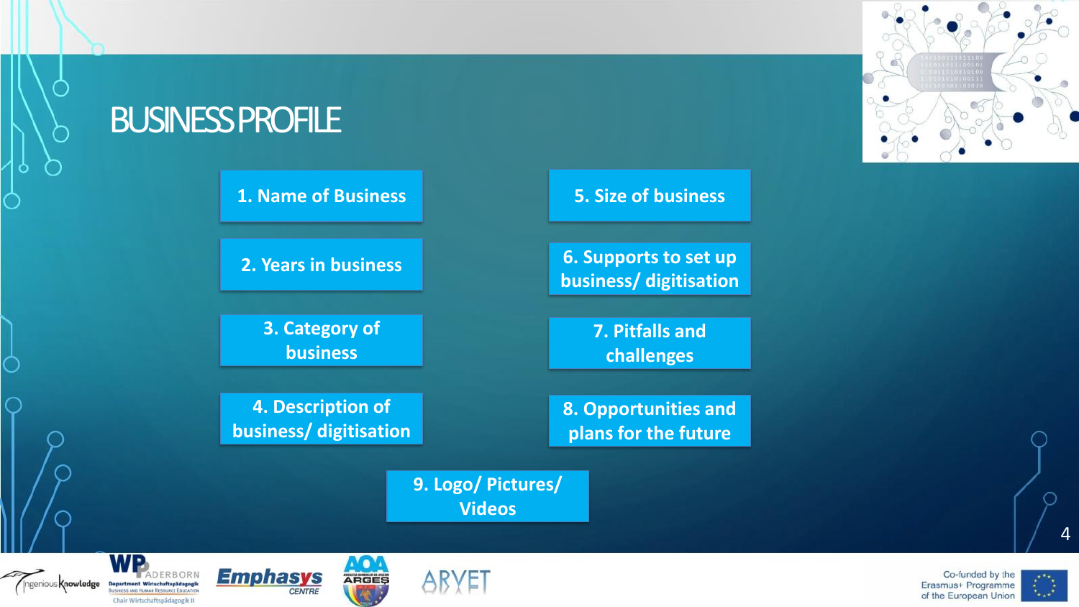#### **BUSINESS PROFILE**

#### **1. Name of Business**

**2. Years in business**

**3. Category of business**

**4. Description of business/ digitisation** **5. Size of business**

**6. Supports to set up business/ digitisation**

> **7. Pitfalls and challenges**

**8. Opportunities and plans for the future**

**9. Logo/ Pictures/ Videos**

#### ngenious Knowledge Department Wirtschaftspädagogik **SHERS AND HUMAN RESOURCE EDUCATION** Chair Wirtschaftspädagogik II





**ARGES** 



 $\boldsymbol{\Lambda}$ 

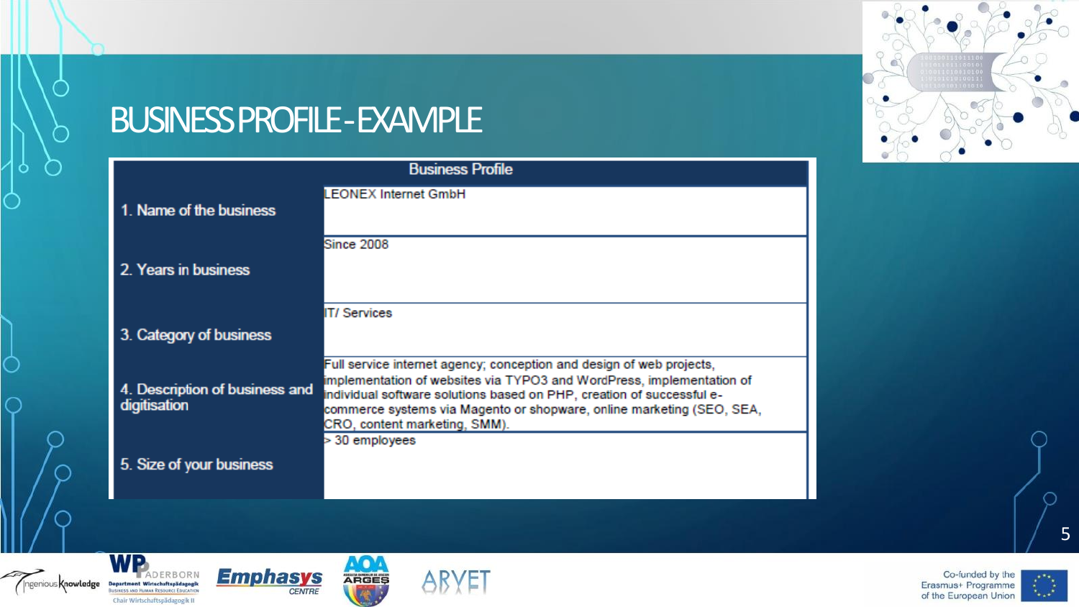

### BUSINESS PROFILE -EXAMPLE

| <b>Business Profile</b>                        |                                                                                                                                                                                                                                                                                                                                  |
|------------------------------------------------|----------------------------------------------------------------------------------------------------------------------------------------------------------------------------------------------------------------------------------------------------------------------------------------------------------------------------------|
| 1. Name of the business                        | <b>LEONEX Internet GmbH</b>                                                                                                                                                                                                                                                                                                      |
| 2. Years in business                           | <b>Since 2008</b>                                                                                                                                                                                                                                                                                                                |
| 3. Category of business                        | <b>IT/Services</b>                                                                                                                                                                                                                                                                                                               |
| 4. Description of business and<br>digitisation | Full service internet agency; conception and design of web projects,<br>implementation of websites via TYPO3 and WordPress, implementation of<br>individual software solutions based on PHP, creation of successful e-<br>commerce systems via Magento or shopware, online marketing (SEO, SEA,<br>CRO, content marketing, SMM). |
| 5. Size of your business                       | > 30 employees                                                                                                                                                                                                                                                                                                                   |



ADERBORN





**AO4** 

ARGES



5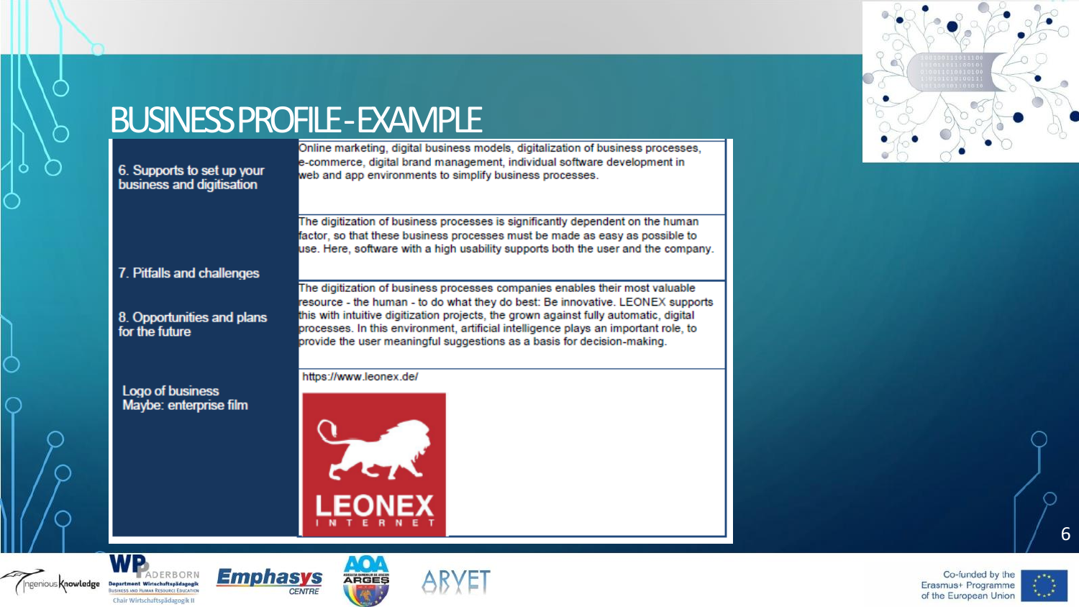# **BUSINESS PROFILE - EXAMPLE**<br> **EXAMPLE**<br> **EXAMPLE**

6. Supports to set up your business and digitisation

e-commerce, digital brand management, individual software development in web and app environments to simplify business processes.

The digitization of business processes is significantly dependent on the human factor, so that these business processes must be made as easy as possible to use. Here, software with a high usability supports both the user and the company.

7. Pitfalls and challenges

8. Opportunities and plans for the future

Logo of business Maybe: enterprise film

Department Wirtschaftspädagogik

**ISINESS AND HUMAN RESOURCE EDUCATIO** 

Chair Wirtschaftspädagogik II

genious **Knowledge** 

**Emphasys** 

**CENTRE** 

The digitization of business processes companies enables their most valuable resource - the human - to do what they do best: Be innovative. LEONEX supports this with intuitive digitization projects, the grown against fully automatic, digital processes. In this environment, artificial intelligence plays an important role, to provide the user meaningful suggestions as a basis for decision-making.

https://www.leonex.de/



**ARGES** 





6